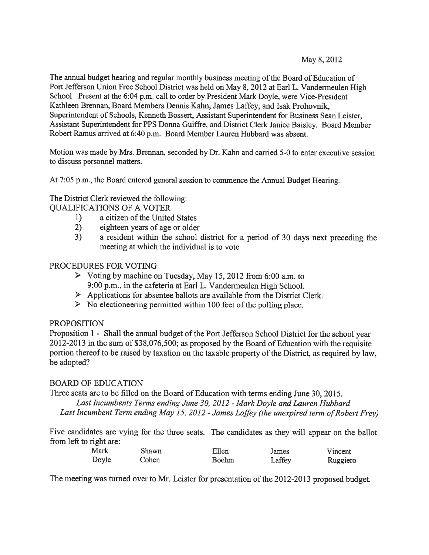May 8, 2012

The annual budget hearing and regular monthly business meeting of the Board of Education of Port Jefferson Union Free School District was held on May 8, <sup>2012</sup> at Earl L. Vandermeulen High School. Present at the 6:04 p.m. call to order by President Mark Doyle, were Vice-President Kathleen Brennan, Board Members Dennis Kahn, James Laffey, and Isak Prohovnik, Superintendent of Schools, Kenneth Bossert, Assistant Superintendent for Business Sean Leister, Assistant Superintendent for PPS Donna Guiffre, and District Clerk Janice Baisley. Board Member Robert Ramus arrived at 6:40 p.m. Board Member Lauren Hubbard was absent.

Motion was made by Mrs. Brennan, seconded by Dr. Kahn and carried 5-0 to enter executive session to discuss personnel matters.

At 7:05 p.m., the Board entered genera<sup>l</sup> session to commence the Annual Budget Hearing.

The District Clerk reviewed the following: QUALIFICATIONS OF A VOTER

- 1) a citizen of the United States
- 2) eighteen years of age or older
- 3) <sup>a</sup> resident within the school district for <sup>a</sup> period of 30 days next preceding the meeting at which the individual is to vote

## PROCEDURES FOR VOTING

- <sup>&</sup>gt; Voting by machine on Tuesday, May 15, 2012 from 6:00 a.m. to 9:00 p.m., in the cafeteria at Earl L. Vandermeulen High School.
- $\triangleright$  Applications for absentee ballots are available from the District Clerk.
- $\triangleright$  No electioneering permitted within 100 feet of the polling place.

## PROPOSITION

Proposition 1 - Shall the annual budget of the Port Jefferson School District for the school year 2012-2013 in the sum of \$38,076,500; as propose<sup>d</sup> by the Board of Education with the requisite portion thereof to be raised by taxation on the taxable property of the District, as required by law, be adopted?

## BOARD OF EDUCATION

Three seats are to be filled on the Board of Education with terms ending June 30, 2015.

Last Incumbents Terms ending June 30, 2012 - Mark Doyle and Lauren Hubbard

Last Incumbent Term ending May 15, 2012 - James Laffey (the unexpired term of Robert Frey)

Five candidates are vying for the three seats. The candidates as they will appear on the ballot from left to right are:

| Mark  | Shawn | Ellen        | James  | Vincent  |
|-------|-------|--------------|--------|----------|
| Doyle | Cohen | <b>Boehm</b> | Laffey | Ruggiero |

The meeting was turned over to Mr. Leister for presentation of the 2012-20 <sup>13</sup> propose<sup>d</sup> budget.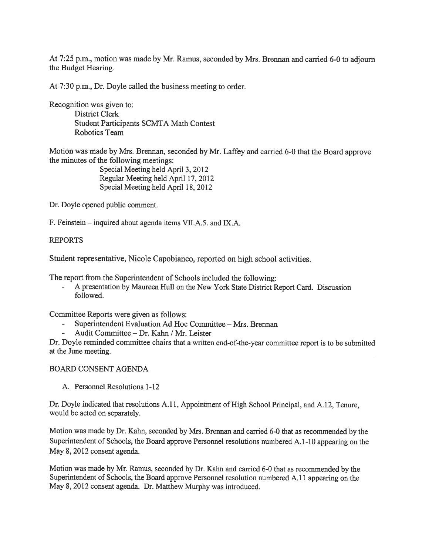At 7:25 p.m., motion was made by Mr. Ramus, seconded by Mrs. Brennan and carried 6-0 to adjourn the Budget Hearing.

At 7:30 p.m., Dr. Doyle called the business meeting to order.

Recognition was given to: District Clerk Student Participants SCMTA Math Contest Robotics Team

Motion was made by Mrs. Brennan, seconded by Mr. Laffey and carried 6-0 that the Board approve the minutes of the following meetings:

Special Meeting held April 3, 2012 Regular Meeting held April 17, 2012 Special Meeting held April 18, 2012

Dr. Doyle opened public comment.

F. Feinstein — inquired about agenda items VII.A.5. and JX.A.

#### REPORTS

Student representative, Nicole Capobianco, reported on high school activities.

The repor<sup>t</sup> from the Superintendent of Schools included the following:

 <sup>A</sup> presentation by Maureen Hull on the New York State District Report Card. Discussion followed.

Committee Reports were given as follows:

- Superintendent Evaluation Ad Hoc Committee Mrs. Brennan
- Audit Committee Dr. Kahn / Mr. Leister

Dr. Doyle reminded committee chairs that <sup>a</sup> written end-of-the-year committee repor<sup>t</sup> is to be submitted at the June meeting.

#### BOARD CONSENT AGENDA

A. Personnel Resolutions 1-12

Dr. Doyle indicated that resolutions A. 11, Appointment of High School Principal, and A. 12, Tenure, would be acted on separately.

Motion was made by Dr. Kahn, seconded by Mrs. Brennan and carried 6-0 that as recommended by the Superintendent of Schools, the Board approve Personnel resolutions numbered A. 1-10 appearing on the May 8, 2012 consent agenda.

Motion was made by Mr. Ramus, seconded by Dr. Kahn and carried 6-0 that as recommended by the Superintendent of Schools, the Board approve Personnel resolution numbered A. <sup>11</sup> appearing on the May 8, 2012 consent agenda. Dr. Matthew Murphy was introduced.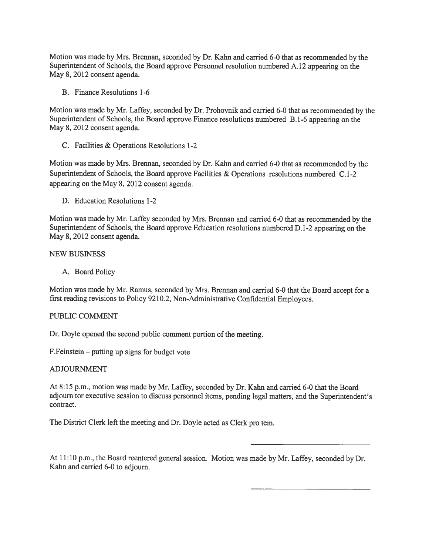Motion was made by Mrs. Brennan, seconded by Dr. Kahn and carried 6-0 that as recommended by the Superintendent of Schools, the Board approve Personnel resolution numbered A. <sup>12</sup> appearing on the May 8, 2012 consent agenda.

B. Finance Resolutions 1-6

Motion was made by Mr. Laffey, seconded by Dr. Prohovriik and carried 6-0 that as recommended by the Superintendent of Schools, the Board approve Finance resolutions numbered B.1-6 appearing on the May 8, 2012 consent agenda.

C. Facilities & Operations Resolutions 1-2

Motion was made by Mrs. Brennan, seconded by Dr. Kahn and carried 6-0 that as recommended by the Superintendent of Schools, the Board approve Facilities & Operations resolutions numbered C.1-2 appearing on the May 8, 2012 consent agenda.

D. Education Resolutions 1-2

Motion was made by Mr. Laffey seconded by Mrs. Brennan and carried 6-0 that as recommended by the Superintendent of Schools, the Board approve Education resolutions numbered D. 1-2 appearing on the May 8, 2012 consent agenda.

#### NEW BUSINESS

A. Board Policy

Motion was made by Mr. Ramus, seconded by Mrs. Brennan and carried 6-0 that the Board accep<sup>t</sup> for <sup>a</sup> first reading revisions to Policy 9210.2, Non-Administrative Confidential Employees.

#### PUBLIC COMMENT

Dr. Doyle opened the second public comment portion of the meeting.

F.Feinstein — putting up signs for budget vote

#### ADJOURNMENT

At 8:15 p.m., motion was made by Mr. Laffey, seconded by Dr. Kahn and carried 6-0 that the Board adjourn tor executive session to discuss personne<sup>l</sup> items, pending legal matters, and the Superintendent's contract.

The District Clerk left the meeting and Dr. Doyle acted as Clerk pro tem.

At 11:10 p.m., the Board reentered genera<sup>l</sup> session. Motion was made by Mr. Laffey, seconded by Dr. Kahn and carried 6-0 to adjourn.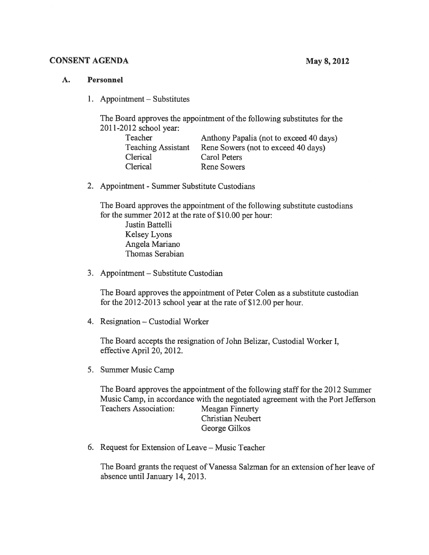#### CONSENT AGENDA May 8, 2012

## A. Personnel

1. Appointment — Substitutes

The Board approves the appointment of the following substitutes for the 2011-2012 school year:

| Anthony Papalia (not to exceed 40 days) |
|-----------------------------------------|
| Rene Sowers (not to exceed 40 days)     |
| Carol Peters                            |
| <b>Rene Sowers</b>                      |
|                                         |

2. Appointment - Summer Substitute Custodians

The Board approves the appointment of the following substitute custodians for the summer 2012 at the rate of \$10.00 per hour:

Justin Battelli Kelsey Lyons Angela Mariano Thomas Serabian

3. Appointment — Substitute Custodian

The Board approves the appointment of Peter Colen as <sup>a</sup> substitute custodian for the 2012-2013 school year at the rate of \$12.00 per hour.

4. Resignation — Custodial Worker

The Board accepts the resignation of John Belizar, Custodial Worker I, effective April 20, 2012.

5. Summer Music Camp

The Board approves the appointment of the following staff for the 2012 Summer Music Camp, in accordance with the negotiated agreemen<sup>t</sup> with the Port Jefferson Teachers Association: Meagan Finnerty Christian Neubert George Gilkos

6. Request for Extension of Leave — Music Teacher

The Board grants the reques<sup>t</sup> of Vanessa Salzman for an extension of her leave of absence until January 14, 2013.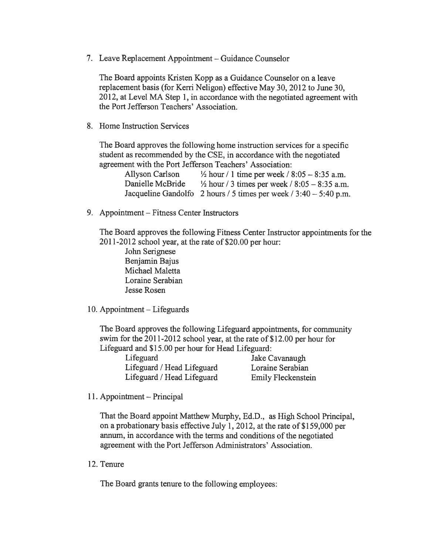7. Leave Replacement Appointment — Guidance Counselor

The Board appoints Kristen Kopp as <sup>a</sup> Guidance Counselor on <sup>a</sup> leave replacement basis (for Kerri Neligon) effective May 30, 2012 to June 30, 2012, at Level MA Step 1, in accordance with the negotiated agreemen<sup>t</sup> with the Port Jefferson Teachers' Association.

8. Home Instruction Services

The Board approves the following home instruction services for <sup>a</sup> specific student as recommended by the CSE, in accordance with the negotiated agreemen<sup>t</sup> with the Port Jefferson Teachers' Association:

| Allyson Carlson  | $\frac{1}{2}$ hour / 1 time per week / 8:05 – 8:35 a.m.             |
|------------------|---------------------------------------------------------------------|
| Danielle McBride | $\frac{1}{2}$ hour / 3 times per week / 8:05 – 8:35 a.m.            |
|                  | Jacqueline Gandolfo 2 hours / 5 times per week $/ 3:40 - 5:40$ p.m. |

9. Appointment — Fitness Center Instructors

The Board approves the following Fitness Center Instructor appointments for the 201 1-2012 school year, at the rate of \$20.00 per hour:

John Serignese Benjamin Bajus Michael Maletta Loraine Serabian Jesse Rosen

10. Appointment — Lifeguards

The Board approves the following Lifeguard appointments, for community swim for the 2011-2012 school year, at the rate of \$12.00 per hour for Lifeguard and \$15.00 per hour for Head Lifeguard:

Lifeguard Jake Cavanaugh Lifeguard / Head Lifeguard Loraine Serabian Lifeguard / Head Lifeguard Emily Fleckenstein

11. Appointment — Principal

That the Board appoint Matthew Murphy, Ed.D., as High School Principal, on <sup>a</sup> probationary basis effective July 1, 2012, at the rate of \$159,000 per annum, in accordance with the terms and conditions of the negotiated agreemen<sup>t</sup> with the Port Jefferson Administrators' Association.

12. Tenure

The Board grants tenure to the following employees: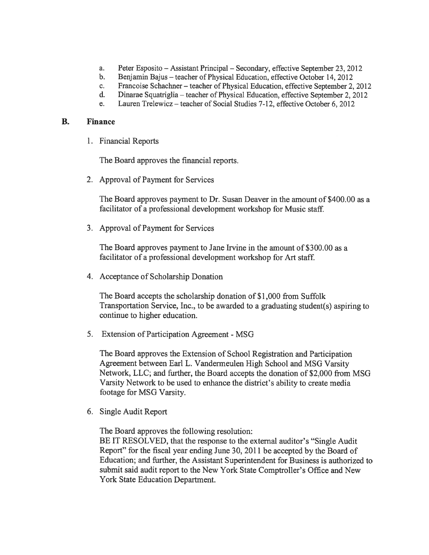- a. Peter Esposito Assistant Principal Secondary, effective September 23, 2012
- b. Benjamin Bajus teacher of Physical Education, effective October 14, 2012
- c. Francoise Schachner teacher of Physical Education, effective September 2, 2012
- d. Dinarae Squatriglia teacher of Physical Education, effective September 2, 2012
- e. Lauren Trelewicz teacher of Social Studies 7-12, effective October 6, 2012

#### B. Finance

1. Financial Reports

The Board approves the financial reports.

2. Approval of Payment for Services

The Board approves paymen<sup>t</sup> to Dr. Susan Deaver in the amount of \$400.00 as <sup>a</sup> facilitator of <sup>a</sup> professional development workshop for Music staff.

3. Approval of Payment for Services

The Board approves paymen<sup>t</sup> to Jane Irvine in the amount of \$300.00 as <sup>a</sup> facilitator of <sup>a</sup> professional development workshop for Art staff.

4. Acceptance of Scholarship Donation

The Board accepts the scholarship donation of \$1,000 from Suffolk Transportation Service, Inc., to be awarded to <sup>a</sup> graduating student(s) aspiring to continue to higher education.

5. Extension of Participation Agreement -MSG

The Board approves the Extension of School Registration and Participation Agreement between Earl L. Vandermeulen High School and MSG Varsity Network, LLC; and further, the Board accepts the donation of \$2,000 from MSG Varsity Network to be used to enhance the district's ability to create media footage for MSG Varsity.

6. Single Audit Report

The Board approves the following resolution:

BE IT RESOLVED, that the response to the external auditor's "Single Audit Report" for the fiscal year ending June 30, 2011 be accepted by the Board of Education; and further, the Assistant Superintendent for Business is authorized to submit said audit repor<sup>t</sup> to the New York State Comptroller's Office and New York State Education Department.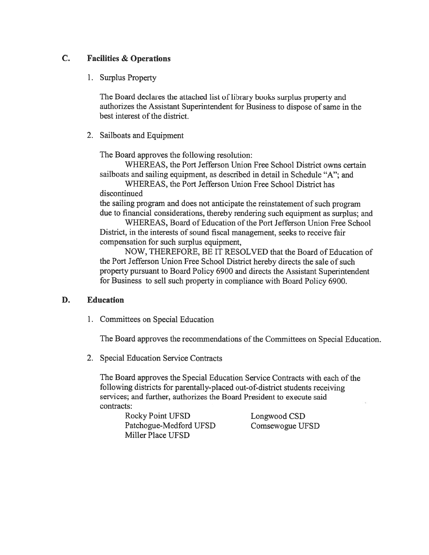# C. Facilities & Operations

1. Surplus Property

The Board declares the attached list of library books surplus property and authorizes the Assistant Superintendent for Business to dispose of same in the best interest of the district.

2. Sailboats and Equipment

The Board approves the following resolution:

WHEREAS, the Port Jefferson Union Free School District owns certain sailboats and sailing equipment, as described in detail in Schedule "A"; and

WHEREAS, the Port Jefferson Union Free School District has discontinued

the sailing program and does not anticipate the reinstatement of such program due to financial considerations, thereby rendering such equipment as surplus; and

WHEREAS, Board of Education of the Port Jefferson Union Free School District, in the interests of sound fiscal management, seeks to receive fair compensation for such surplus equipment,

NOW, THEREFORE, BE IT RESOLVED that the Board of Education of the Port Jefferson Union Free School District hereby directs the sale of such property pursuan<sup>t</sup> to Board Policy 6900 and directs the Assistant Superintendent for Business to sell such property in compliance with Board Policy 6900.

# D. Education

1. Committees on Special Education

The Board approves the recommendations of the Committees on Special Education.

2. Special Education Service Contracts

The Board approves the Special Education Service Contracts with each of the following districts for parentally-placed out-of-district students receiving services; and further, authorizes the Board President to execute said contracts:

Rocky Point UFSD Longwood CSD Patchogue-Medford UFSD Comsewogue UFSD Miller Place UFSD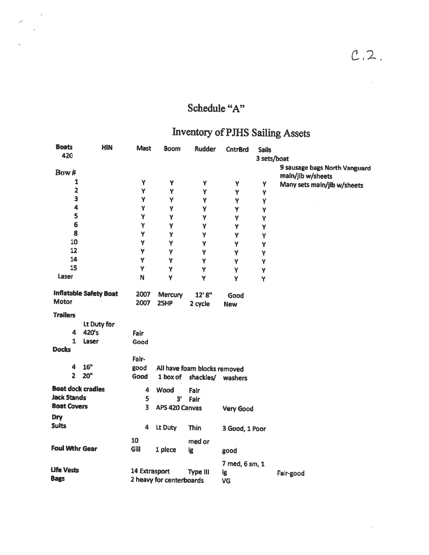$\mathcal{R}$ 

 $\widetilde{\mathcal{F}}$ 

# Schedule "A"

 $\mathcal{A}$ 

 $\mathbf{r}$ 

# Inventory of PJHS Sailing Assets

| 420<br>3 sets/boat<br>9 sausage bags North Vanguard<br>Bow#<br>main/jib w/sheets                                          |  |
|---------------------------------------------------------------------------------------------------------------------------|--|
|                                                                                                                           |  |
|                                                                                                                           |  |
| 1<br>Y<br>Y<br>Υ<br>Y<br>Y<br>Many sets main/jib w/sheets                                                                 |  |
| $\overline{c}$<br>Y<br>Y<br>Y<br>Υ<br>Y                                                                                   |  |
| 3<br>Y<br>Y<br>Y<br>Y<br>Y                                                                                                |  |
| $\ddot{\mathbf{z}}$<br>Υ<br>Y<br>Y<br>Y<br>Y                                                                              |  |
| 5<br>Y<br>Y<br>Y<br>Y<br>Y                                                                                                |  |
| 6<br>Y<br>Y<br>Y<br>Υ<br>Y                                                                                                |  |
| 8<br>Y<br>Y<br>Ÿ<br>Ÿ<br>Y                                                                                                |  |
| 10<br>Υ<br>Y<br>Y<br>Υ<br>Y                                                                                               |  |
| 12<br>Y<br>Υ<br>Y<br>Υ<br>Y                                                                                               |  |
| 14<br>Y<br>Y<br>Y<br>Y<br>Y                                                                                               |  |
| 15<br>Y<br>Y<br>Y<br>Y<br>Y                                                                                               |  |
| Laser<br>N<br>Ÿ<br>Y<br>Y<br>Y                                                                                            |  |
| <b>Inflatable Safety Boat</b><br>2007<br><b>Mercury</b><br>12' 8"<br>Good<br><b>Motor</b><br>2007<br>25HP                 |  |
| 2 cycle<br><b>New</b>                                                                                                     |  |
| <b>Trailers</b>                                                                                                           |  |
| Lt Duty for                                                                                                               |  |
| 420's<br>4<br>Fair                                                                                                        |  |
| $\mathbf{1}$<br>Laser<br>Good                                                                                             |  |
| <b>Docks</b>                                                                                                              |  |
| Fair-                                                                                                                     |  |
| 16 <sup>n</sup><br>4<br>good<br>All have foam blocks removed                                                              |  |
| $\overline{z}$<br>20 <sup>n</sup><br>Good<br>1 box of<br>shackles/ washers                                                |  |
| <b>Boat dock cradles</b><br>4<br>Wood<br>Fair                                                                             |  |
| <b>Jack Stands</b><br>5<br>3 <sup>t</sup><br>Fair                                                                         |  |
| <b>Boat Covers</b><br>3<br><b>APS 420 Canvas</b><br><b>Very Good</b>                                                      |  |
| Dry                                                                                                                       |  |
| <b>Suits</b><br>4<br>Lt Duty<br><b>Thin</b><br>3 Good, 1 Poor                                                             |  |
| 10<br>med or                                                                                                              |  |
| <b>Foul Wthr Gear</b><br>Gill<br>1 piece<br><b>ig</b>                                                                     |  |
| good                                                                                                                      |  |
| 7 med, 6 sm, 1                                                                                                            |  |
| <b>Life Vests</b><br>14 Extrasport<br><b>Type III</b><br>lg<br>Fair-good<br><b>Bags</b><br>2 heavy for centerboards<br>VG |  |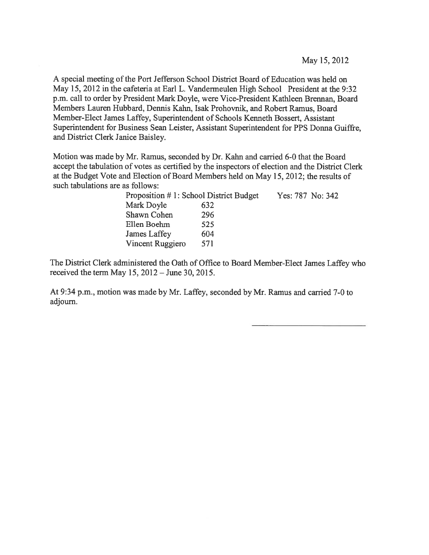A special meeting of the Port Jefferson School District Board of Education was held on May 15, 2012 in the cafeteria at Earl L. Vandermeulen High School President at the 9:32 p.m. call to order by President Mark Doyle, were Vice-President Kathleen Brennan, Board Members Lauren Hubbard, Dennis Kahn, Isak Prohovnik, and Robert Ramus, Board Member-Elect James Laffey, Superintendent of Schools Kenneth Bossert, Assistant Superintendent for Business Sean Leister, Assistant Superintendent for PPS Donna Guiffre, and District Clerk Janice Baisley.

Motion was made by Mr. Ramus, seconded by Dr. Kahn and carried 6-0 that the Board accep<sup>t</sup> the tabulation of votes as certified by the inspectors of election and the District Clerk at the Budget Vote and Election of Board Members held on May 15, 2012; the results of such tabulations are as follows:

| Proposition #1: School District Budget |     | Yes: 787 No: 342 |
|----------------------------------------|-----|------------------|
| Mark Doyle                             | 632 |                  |
| Shawn Cohen                            | 296 |                  |
| Ellen Boehm                            | 525 |                  |
| James Laffey                           | 604 |                  |
| Vincent Ruggiero                       | 571 |                  |

The District Clerk administered the Oath of Office to Board Member-Elect James Laffey who received the term May 15, 2012— June 30, 2015.

At 9:34 p.m., motion was made by Mr. Laffey, seconded by Mr. Ramus and carried 7-0 to adjourn.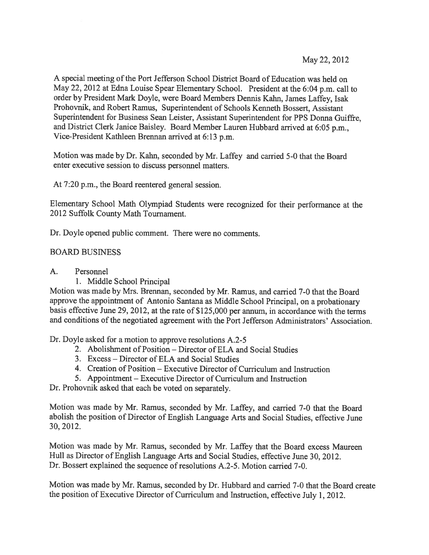May 22, 2012

A special meeting of the Port Jefferson School District Board of Education was held on May 22, <sup>2012</sup> at Edna Louise Spear Elementary School. President at the 6:04 p.m. call to order by President Mark Doyle, were Board Members Dennis Kahn, James Laffey, Isak Prohovnik, and Robert Ramus, Superintendent of Schools Kenneth Bossert, Assistant Superintendent for Business Sean Leister, Assistant Superintendent for PPS Donna Guiffre, and District Clerk Janice Baisley. Board Member Lauren Hubbard arrived at 6:05 p.m., Vice-President Kathleen Brennan arrived at 6:13 p.m.

Motion was made by Dr. Kahn, seconded by Mr. Laffey and carried 5-0 that the Board enter executive session to discuss personnel matters.

At 7:20 p.m., the Board reentered general session.

Elementary School Math Olympiad Students were recognized for their performance at the 2012 Suffolk County Math Tournament.

Dr. Doyle opened public comment. There were no comments.

## BOARD BUSINESS

A. Personnel

1. Middle School Principal

Motion was made by Mrs. Brennan, seconded by Mr. Ramus, and carried 7-0 that the Board approve the appointment of Antonio Santana as Middle School Principal, on <sup>a</sup> probationary basis effective June 29, 2012, at the rate of \$125,000 per annum, in accordance with the terms and conditions of the negotiated agreement with the Port Jefferson Administrators' Association.

Dr. Doyle asked for <sup>a</sup> motion to approve resolutions A.2-5

- 2. Abolishment of Position Director of ELA and Social Studies
- 3. Excess Director of ELA and Social Studies
- 4. Creation of Position Executive Director of Curriculum and Instruction
- 5. Appointment Executive Director of Curriculum and Instruction

Dr. Prohovnik asked that each be voted on separately.

Motion was made by Mr. Ramus, seconded by Mr. Laffey, and carried 7-0 that the Board abolish the position of Director of English Language Arts and Social Studies, effective June 30, 2012.

Motion was made by Mr. Ramus, seconded by Mr. Laffey that the Board excess Maureen Hull as Director of English Language Arts and Social Studies, effective June 30, 2012. Dr. Bossert explained the sequence of resolutions A.2-5. Motion carried 7-0.

Motion was made by Mr. Ramus, seconded by Dr. Hubbard and carried 7-0 that the Board create the position of Executive Director of Curriculum and Instruction, effective July 1, 2012.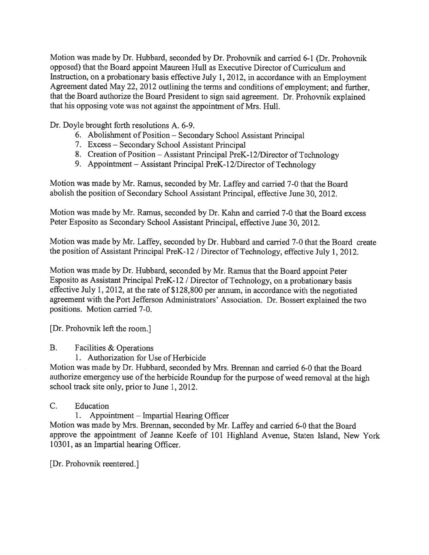Motion was made by Dr. Hubbard, seconded by Dr. Prohovnik and carried 6-1 (Dr. Prohovnik opposed) that the Board appoint Maureen Hull as Executive Director of Curriculum and Instruction, on <sup>a</sup> probationary basis effective July 1, 2012, in accordance with an Employment Agreement dated May 22, <sup>2012</sup> outlining the terms and conditions of employment; and further, that the Board authorize the Board President to sign said agreement. Dr. Prohovnik explained that his opposing vote was not against the appointment of Mrs. Hull.

Dr. Doyle brought forth resolutions A. 6-9.

- 6. Abolishment of Position Secondary School Assistant Principal
- 7. Excess Secondary School Assistant Principal
- 8. Creation of Position Assistant Principal PreK-12/Director of Technology
- 9. Appointment Assistant Principal PreK-12/Director of Technology

Motion was made by Mr. Ramus, seconded by Mr. Laffey and carried 7-0 that the Board abolish the position of Secondary School Assistant Principal, effective June 30, 2012.

Motion was made by Mr. Ramus, seconded by Dr. Kahn and carried 7-0 that the Board excess Peter Esposito as Secondary School Assistant Principal, effective June 30, 2012.

Motion was made by Mr. Laffey, seconded by Dr. Hubbard and carried 7-0 that the Board create the position of Assistant Principal PreK-12 / Director of Technology, effective July 1, 2012.

Motion was made by Dr. Hubbard, seconded by Mr. Ramus that the Board appoint Peter Esposito as Assistant Principal PreK-12 / Director of Technology, on <sup>a</sup> probationary basis effective July 1, 2012, at the rate of \$128,800 per annum, in accordance with the negotiated agreemen<sup>t</sup> with the Port Jefferson Administrators' Association. Dr. Bossert explained the two positions. Motion carried 7-0.

[Dr. Prohovnik left the room.]

B. Facilities & Operations

1. Authorization for Use of Herbicide

Motion was made by Dr. Hubbard, seconded by Mrs. Brennan and carried 6-0 that the Board authorize emergency use of the herbicide Roundup for the purpose of weed removal at the high school track site only, prior to June 1, 2012.

C. Education

1. Appointment — Impartial Hearing Officer

Motion was made by Mrs. Brennan, seconded by Mr. Laffey and carried 6-0 that the Board approve the appointment of Jeanne Keefe of 101 Highland Avenue, Staten Island, New York 10301, as an Impartial hearing Officer.

[Dr. Prohovnik reentered.]